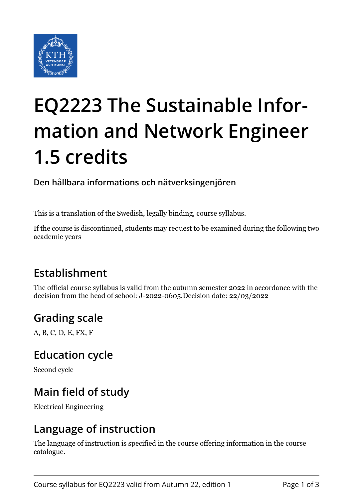

# **EQ2223 The Sustainable Information and Network Engineer 1.5 credits**

**Den hållbara informations och nätverksingenjören**

This is a translation of the Swedish, legally binding, course syllabus.

If the course is discontinued, students may request to be examined during the following two academic years

## **Establishment**

The official course syllabus is valid from the autumn semester 2022 in accordance with the decision from the head of school: J-2022-0605.Decision date: 22/03/2022

## **Grading scale**

A, B, C, D, E, FX, F

#### **Education cycle**

Second cycle

## **Main field of study**

Electrical Engineering

## **Language of instruction**

The language of instruction is specified in the course offering information in the course catalogue.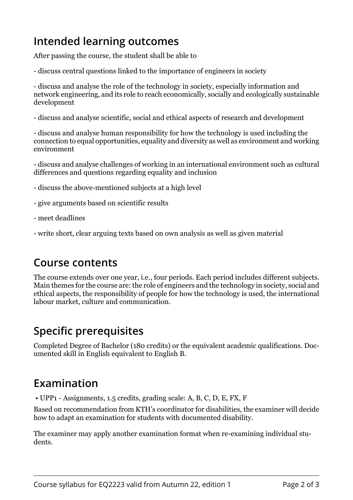## **Intended learning outcomes**

After passing the course, the student shall be able to

- discuss central questions linked to the importance of engineers in society

- discuss and analyse the role of the technology in society, especially information and network engineering, and its role to reach economically, socially and ecologically sustainable development

- discuss and analyse scientific, social and ethical aspects of research and development

- discuss and analyse human responsibility for how the technology is used including the connection to equal opportunities, equality and diversity as well as environment and working environment

- discuss and analyse challenges of working in an international environment such as cultural differences and questions regarding equality and inclusion

- discuss the above-mentioned subjects at a high level

- give arguments based on scientific results
- meet deadlines
- write short, clear arguing texts based on own analysis as well as given material

## **Course contents**

The course extends over one year, i.e., four periods. Each period includes different subjects. Main themes for the course are: the role of engineers and the technology in society, social and ethical aspects, the responsibility of people for how the technology is used, the international labour market, culture and communication.

## **Specific prerequisites**

Completed Degree of Bachelor (180 credits) or the equivalent academic qualifications. Documented skill in English equivalent to English B.

## **Examination**

• UPP1 - Assignments, 1.5 credits, grading scale: A, B, C, D, E, FX, F

Based on recommendation from KTH's coordinator for disabilities, the examiner will decide how to adapt an examination for students with documented disability.

The examiner may apply another examination format when re-examining individual students.